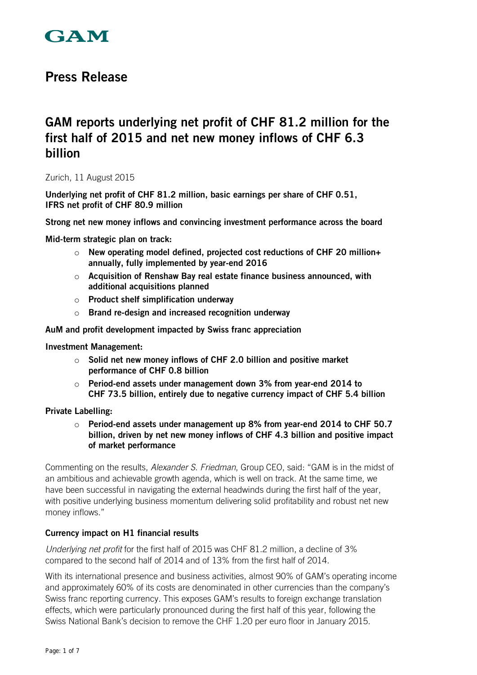

# **Press Release**

# **GAM reports underlying net profit of CHF 81.2 million for the first half of 2015 and net new money inflows of CHF 6.3 billion**

### Zurich, 11 August 2015

**Underlying net profit of CHF 81.2 million, basic earnings per share of CHF 0.51, IFRS net profit of CHF 80.9 million** 

**Strong net new money inflows and convincing investment performance across the board** 

**Mid-term strategic plan on track:** 

- o **New operating model defined, projected cost reductions of CHF 20 million+ annually, fully implemented by year-end 2016**
- o **Acquisition of Renshaw Bay real estate finance business announced, with additional acquisitions planned**
- o **Product shelf simplification underway**
- o **Brand re-design and increased recognition underway**

**AuM and profit development impacted by Swiss franc appreciation** 

**Investment Management:** 

- o **Solid net new money inflows of CHF 2.0 billion and positive market performance of CHF 0.8 billion**
- o **Period-end assets under management down 3% from year-end 2014 to CHF 73.5 billion, entirely due to negative currency impact of CHF 5.4 billion**

**Private Labelling:** 

o **Period-end assets under management up 8% from year-end 2014 to CHF 50.7 billion, driven by net new money inflows of CHF 4.3 billion and positive impact of market performance** 

Commenting on the results, *Alexander S. Friedman*, Group CEO, said: "GAM is in the midst of an ambitious and achievable growth agenda, which is well on track. At the same time, we have been successful in navigating the external headwinds during the first half of the year, with positive underlying business momentum delivering solid profitability and robust net new money inflows."

### **Currency impact on H1 financial results**

*Underlying net profit* for the first half of 2015 was CHF 81.2 million, a decline of 3% compared to the second half of 2014 and of 13% from the first half of 2014.

With its international presence and business activities, almost 90% of GAM's operating income and approximately 60% of its costs are denominated in other currencies than the company's Swiss franc reporting currency. This exposes GAM's results to foreign exchange translation effects, which were particularly pronounced during the first half of this year, following the Swiss National Bank's decision to remove the CHF 1.20 per euro floor in January 2015.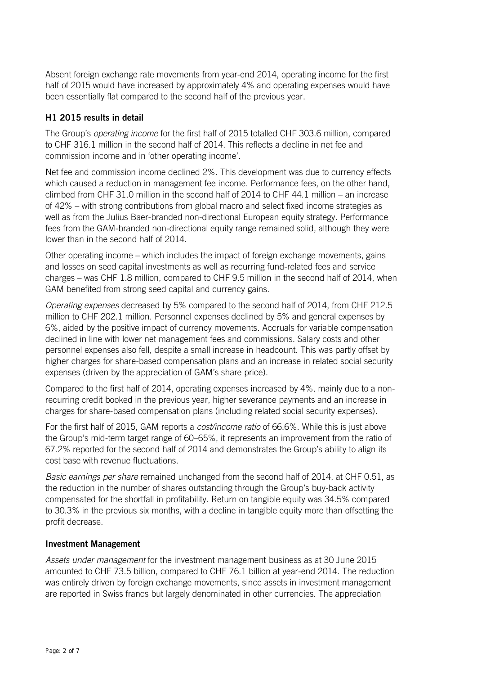Absent foreign exchange rate movements from year-end 2014, operating income for the first half of 2015 would have increased by approximately 4% and operating expenses would have been essentially flat compared to the second half of the previous year.

## **H1 2015 results in detail**

The Group's *operating income* for the first half of 2015 totalled CHF 303.6 million, compared to CHF 316.1 million in the second half of 2014. This reflects a decline in net fee and commission income and in 'other operating income'.

Net fee and commission income declined 2%. This development was due to currency effects which caused a reduction in management fee income. Performance fees, on the other hand, climbed from CHF 31.0 million in the second half of 2014 to CHF 44.1 million – an increase of 42% – with strong contributions from global macro and select fixed income strategies as well as from the Julius Baer-branded non-directional European equity strategy. Performance fees from the GAM-branded non-directional equity range remained solid, although they were lower than in the second half of 2014.

Other operating income – which includes the impact of foreign exchange movements, gains and losses on seed capital investments as well as recurring fund-related fees and service charges – was CHF 1.8 million, compared to CHF 9.5 million in the second half of 2014, when GAM benefited from strong seed capital and currency gains.

*Operating expenses* decreased by 5% compared to the second half of 2014, from CHF 212.5 million to CHF 202.1 million. Personnel expenses declined by 5% and general expenses by 6%, aided by the positive impact of currency movements. Accruals for variable compensation declined in line with lower net management fees and commissions. Salary costs and other personnel expenses also fell, despite a small increase in headcount. This was partly offset by higher charges for share-based compensation plans and an increase in related social security expenses (driven by the appreciation of GAM's share price).

Compared to the first half of 2014, operating expenses increased by 4%, mainly due to a nonrecurring credit booked in the previous year, higher severance payments and an increase in charges for share-based compensation plans (including related social security expenses).

For the first half of 2015, GAM reports a *cost/income ratio* of 66.6%. While this is just above the Group's mid-term target range of 60–65%, it represents an improvement from the ratio of 67.2% reported for the second half of 2014 and demonstrates the Group's ability to align its cost base with revenue fluctuations.

*Basic earnings per share* remained unchanged from the second half of 2014, at CHF 0.51, as the reduction in the number of shares outstanding through the Group's buy-back activity compensated for the shortfall in profitability. Return on tangible equity was 34.5% compared to 30.3% in the previous six months, with a decline in tangible equity more than offsetting the profit decrease.

### **Investment Management**

*Assets under management* for the investment management business as at 30 June 2015 amounted to CHF 73.5 billion, compared to CHF 76.1 billion at year-end 2014. The reduction was entirely driven by foreign exchange movements, since assets in investment management are reported in Swiss francs but largely denominated in other currencies. The appreciation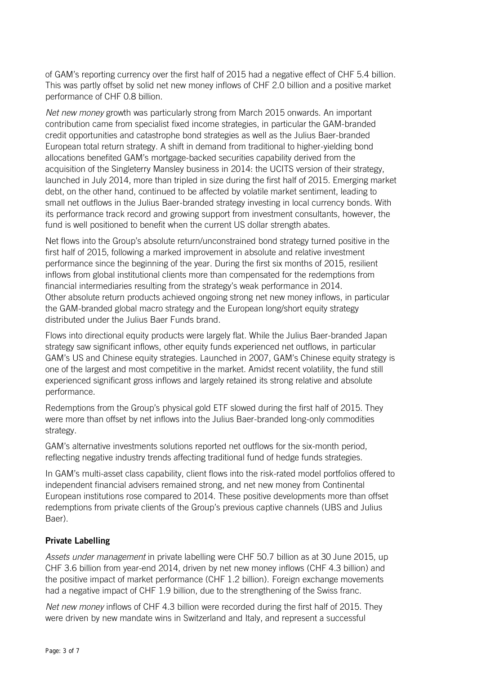of GAM's reporting currency over the first half of 2015 had a negative effect of CHF 5.4 billion. This was partly offset by solid net new money inflows of CHF 2.0 billion and a positive market performance of CHF 0.8 billion.

*Net new money* growth was particularly strong from March 2015 onwards. An important contribution came from specialist fixed income strategies, in particular the GAM-branded credit opportunities and catastrophe bond strategies as well as the Julius Baer-branded European total return strategy. A shift in demand from traditional to higher-yielding bond allocations benefited GAM's mortgage-backed securities capability derived from the acquisition of the Singleterry Mansley business in 2014: the UCITS version of their strategy, launched in July 2014, more than tripled in size during the first half of 2015. Emerging market debt, on the other hand, continued to be affected by volatile market sentiment, leading to small net outflows in the Julius Baer-branded strategy investing in local currency bonds. With its performance track record and growing support from investment consultants, however, the fund is well positioned to benefit when the current US dollar strength abates.

Net flows into the Group's absolute return/unconstrained bond strategy turned positive in the first half of 2015, following a marked improvement in absolute and relative investment performance since the beginning of the year. During the first six months of 2015, resilient inflows from global institutional clients more than compensated for the redemptions from financial intermediaries resulting from the strategy's weak performance in 2014. Other absolute return products achieved ongoing strong net new money inflows, in particular the GAM-branded global macro strategy and the European long/short equity strategy distributed under the Julius Baer Funds brand.

Flows into directional equity products were largely flat. While the Julius Baer-branded Japan strategy saw significant inflows, other equity funds experienced net outflows, in particular GAM's US and Chinese equity strategies. Launched in 2007, GAM's Chinese equity strategy is one of the largest and most competitive in the market. Amidst recent volatility, the fund still experienced significant gross inflows and largely retained its strong relative and absolute performance.

Redemptions from the Group's physical gold ETF slowed during the first half of 2015. They were more than offset by net inflows into the Julius Baer-branded long-only commodities strategy.

GAM's alternative investments solutions reported net outflows for the six-month period, reflecting negative industry trends affecting traditional fund of hedge funds strategies.

In GAM's multi-asset class capability, client flows into the risk-rated model portfolios offered to independent financial advisers remained strong, and net new money from Continental European institutions rose compared to 2014. These positive developments more than offset redemptions from private clients of the Group's previous captive channels (UBS and Julius Baer).

## **Private Labelling**

*Assets under management* in private labelling were CHF 50.7 billion as at 30 June 2015, up CHF 3.6 billion from year-end 2014, driven by net new money inflows (CHF 4.3 billion) and the positive impact of market performance (CHF 1.2 billion). Foreign exchange movements had a negative impact of CHF 1.9 billion, due to the strengthening of the Swiss franc.

*Net new money* inflows of CHF 4.3 billion were recorded during the first half of 2015. They were driven by new mandate wins in Switzerland and Italy, and represent a successful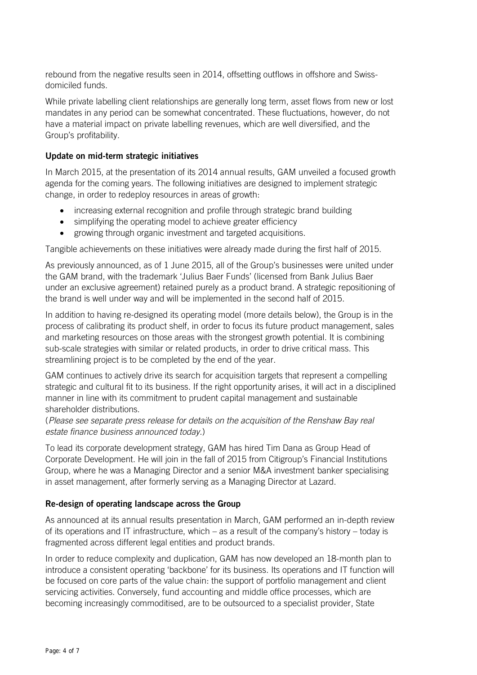rebound from the negative results seen in 2014, offsetting outflows in offshore and Swissdomiciled funds.

While private labelling client relationships are generally long term, asset flows from new or lost mandates in any period can be somewhat concentrated. These fluctuations, however, do not have a material impact on private labelling revenues, which are well diversified, and the Group's profitability.

## **Update on mid-term strategic initiatives**

In March 2015, at the presentation of its 2014 annual results, GAM unveiled a focused growth agenda for the coming years. The following initiatives are designed to implement strategic change, in order to redeploy resources in areas of growth:

- increasing external recognition and profile through strategic brand building
- simplifying the operating model to achieve greater efficiency
- growing through organic investment and targeted acquisitions.

Tangible achievements on these initiatives were already made during the first half of 2015.

As previously announced, as of 1 June 2015, all of the Group's businesses were united under the GAM brand, with the trademark 'Julius Baer Funds' (licensed from Bank Julius Baer under an exclusive agreement) retained purely as a product brand. A strategic repositioning of the brand is well under way and will be implemented in the second half of 2015.

In addition to having re-designed its operating model (more details below), the Group is in the process of calibrating its product shelf, in order to focus its future product management, sales and marketing resources on those areas with the strongest growth potential. It is combining sub-scale strategies with similar or related products, in order to drive critical mass. This streamlining project is to be completed by the end of the year.

GAM continues to actively drive its search for acquisition targets that represent a compelling strategic and cultural fit to its business. If the right opportunity arises, it will act in a disciplined manner in line with its commitment to prudent capital management and sustainable shareholder distributions.

(*Please see separate press release for details on the acquisition of the Renshaw Bay real estate finance business announced today.*)

To lead its corporate development strategy, GAM has hired Tim Dana as Group Head of Corporate Development. He will join in the fall of 2015 from Citigroup's Financial Institutions Group, where he was a Managing Director and a senior M&A investment banker specialising in asset management, after formerly serving as a Managing Director at Lazard.

### **Re-design of operating landscape across the Group**

As announced at its annual results presentation in March, GAM performed an in-depth review of its operations and IT infrastructure, which – as a result of the company's history – today is fragmented across different legal entities and product brands.

In order to reduce complexity and duplication, GAM has now developed an 18-month plan to introduce a consistent operating 'backbone' for its business. Its operations and IT function will be focused on core parts of the value chain: the support of portfolio management and client servicing activities. Conversely, fund accounting and middle office processes, which are becoming increasingly commoditised, are to be outsourced to a specialist provider, State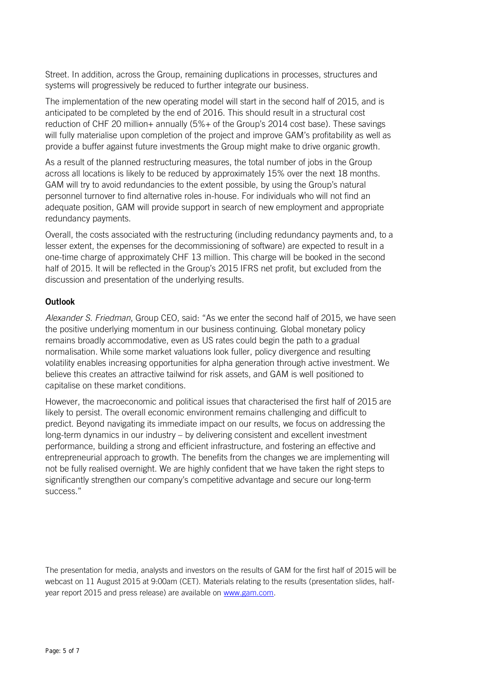Street. In addition, across the Group, remaining duplications in processes, structures and systems will progressively be reduced to further integrate our business.

The implementation of the new operating model will start in the second half of 2015, and is anticipated to be completed by the end of 2016. This should result in a structural cost reduction of CHF 20 million+ annually (5%+ of the Group's 2014 cost base). These savings will fully materialise upon completion of the project and improve GAM's profitability as well as provide a buffer against future investments the Group might make to drive organic growth.

As a result of the planned restructuring measures, the total number of jobs in the Group across all locations is likely to be reduced by approximately 15% over the next 18 months. GAM will try to avoid redundancies to the extent possible, by using the Group's natural personnel turnover to find alternative roles in-house. For individuals who will not find an adequate position, GAM will provide support in search of new employment and appropriate redundancy payments.

Overall, the costs associated with the restructuring (including redundancy payments and, to a lesser extent, the expenses for the decommissioning of software) are expected to result in a one-time charge of approximately CHF 13 million. This charge will be booked in the second half of 2015. It will be reflected in the Group's 2015 IFRS net profit, but excluded from the discussion and presentation of the underlying results.

## **Outlook**

*Alexander S. Friedman*, Group CEO, said: "As we enter the second half of 2015, we have seen the positive underlying momentum in our business continuing. Global monetary policy remains broadly accommodative, even as US rates could begin the path to a gradual normalisation. While some market valuations look fuller, policy divergence and resulting volatility enables increasing opportunities for alpha generation through active investment. We believe this creates an attractive tailwind for risk assets, and GAM is well positioned to capitalise on these market conditions.

However, the macroeconomic and political issues that characterised the first half of 2015 are likely to persist. The overall economic environment remains challenging and difficult to predict. Beyond navigating its immediate impact on our results, we focus on addressing the long-term dynamics in our industry – by delivering consistent and excellent investment performance, building a strong and efficient infrastructure, and fostering an effective and entrepreneurial approach to growth. The benefits from the changes we are implementing will not be fully realised overnight. We are highly confident that we have taken the right steps to significantly strengthen our company's competitive advantage and secure our long-term success."

The presentation for media, analysts and investors on the results of GAM for the first half of 2015 will be webcast on 11 August 2015 at 9:00am (CET). Materials relating to the results (presentation slides, halfyear report 2015 and press release) are available on [www.gam.com.](http://www.gam.com/)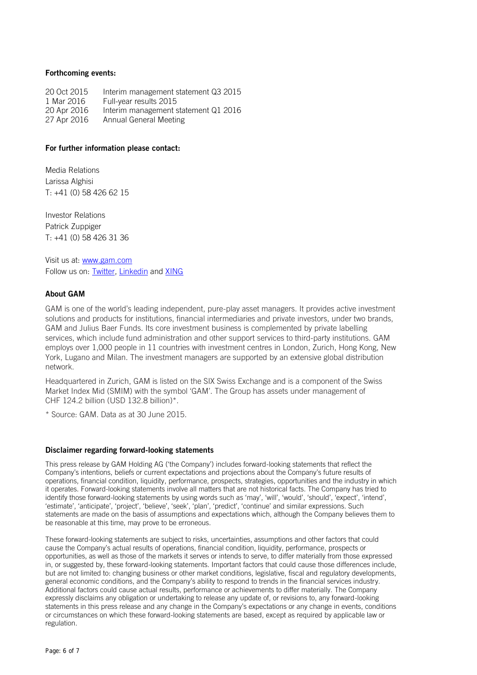#### **Forthcoming events:**

20 Oct 2015 Interim management statement Q3 2015 1 Mar 2016 Full-year results 2015<br>20 Apr 2016 Interim management s 20 Apr 2016 Interim management statement Q1 2016<br>27 Apr 2016 Annual General Meeting Annual General Meeting

#### **For further information please contact:**

Media Relations Larissa Alghisi T: +41 (0) 58 426 62 15

Investor Relations Patrick Zuppiger T: +41 (0) 58 426 31 36

Visit us at: [www.gam.com](http://www.gam.com/) Follow us on: [Twitter,](https://twitter.com/gamlondon) [Linkedin](https://www.linkedin.com/company/gam?trk=company_logo) and [XING](https://www.xing.com/companies/gam)

#### **About GAM**

GAM is one of the world's leading independent, pure-play asset managers. It provides active investment solutions and products for institutions, financial intermediaries and private investors, under two brands, GAM and Julius Baer Funds. Its core investment business is complemented by private labelling services, which include fund administration and other support services to third-party institutions. GAM employs over 1,000 people in 11 countries with investment centres in London, Zurich, Hong Kong, New York, Lugano and Milan. The investment managers are supported by an extensive global distribution network.

Headquartered in Zurich, GAM is listed on the SIX Swiss Exchange and is a component of the Swiss Market Index Mid (SMIM) with the symbol 'GAM'. The Group has assets under management of CHF 124.2 billion (USD 132.8 billion)\*.

\* Source: GAM. Data as at 30 June 2015.

#### **Disclaimer regarding forward-looking statements**

This press release by GAM Holding AG ('the Company') includes forward-looking statements that reflect the Company's intentions, beliefs or current expectations and projections about the Company's future results of operations, financial condition, liquidity, performance, prospects, strategies, opportunities and the industry in which it operates. Forward-looking statements involve all matters that are not historical facts. The Company has tried to identify those forward-looking statements by using words such as 'may', 'will', 'would', 'should', 'expect', 'intend', 'estimate', 'anticipate', 'project', 'believe', 'seek', 'plan', 'predict', 'continue' and similar expressions. Such statements are made on the basis of assumptions and expectations which, although the Company believes them to be reasonable at this time, may prove to be erroneous.

These forward-looking statements are subject to risks, uncertainties, assumptions and other factors that could cause the Company's actual results of operations, financial condition, liquidity, performance, prospects or opportunities, as well as those of the markets it serves or intends to serve, to differ materially from those expressed in, or suggested by, these forward-looking statements. Important factors that could cause those differences include, but are not limited to: changing business or other market conditions, legislative, fiscal and regulatory developments, general economic conditions, and the Company's ability to respond to trends in the financial services industry. Additional factors could cause actual results, performance or achievements to differ materially. The Company expressly disclaims any obligation or undertaking to release any update of, or revisions to, any forward-looking statements in this press release and any change in the Company's expectations or any change in events, conditions or circumstances on which these forward-looking statements are based, except as required by applicable law or regulation.